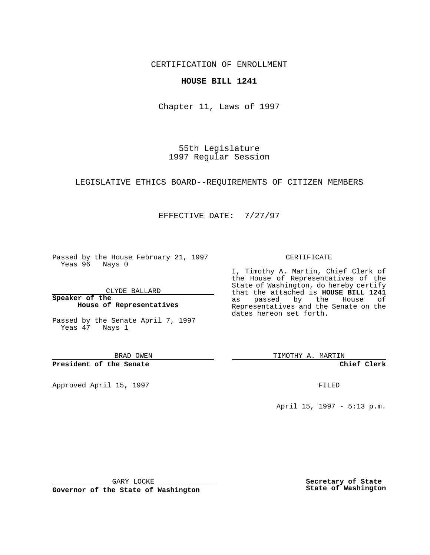CERTIFICATION OF ENROLLMENT

### **HOUSE BILL 1241**

Chapter 11, Laws of 1997

55th Legislature 1997 Regular Session

LEGISLATIVE ETHICS BOARD--REQUIREMENTS OF CITIZEN MEMBERS

## EFFECTIVE DATE: 7/27/97

Passed by the House February 21, 1997 Yeas 96 Nays 0

CLYDE BALLARD

**Speaker of the House of Representatives**

Passed by the Senate April 7, 1997 Yeas 47 Nays 1

BRAD OWEN

**President of the Senate**

Approved April 15, 1997 **FILED** 

#### CERTIFICATE

I, Timothy A. Martin, Chief Clerk of the House of Representatives of the State of Washington, do hereby certify that the attached is **HOUSE BILL 1241** as passed by the House of Representatives and the Senate on the dates hereon set forth.

TIMOTHY A. MARTIN

**Chief Clerk**

April 15, 1997 - 5:13 p.m.

GARY LOCKE

**Governor of the State of Washington**

**Secretary of State State of Washington**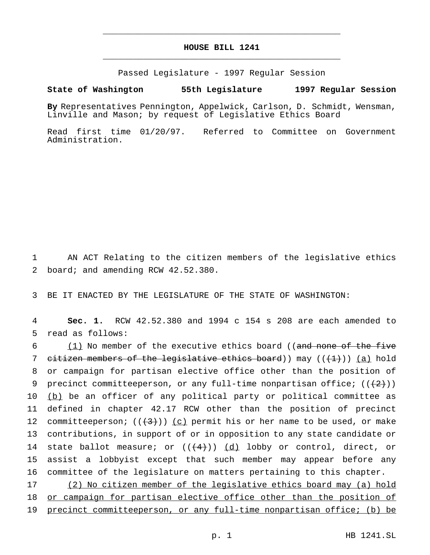# **HOUSE BILL 1241** \_\_\_\_\_\_\_\_\_\_\_\_\_\_\_\_\_\_\_\_\_\_\_\_\_\_\_\_\_\_\_\_\_\_\_\_\_\_\_\_\_\_\_\_\_\_\_

\_\_\_\_\_\_\_\_\_\_\_\_\_\_\_\_\_\_\_\_\_\_\_\_\_\_\_\_\_\_\_\_\_\_\_\_\_\_\_\_\_\_\_\_\_\_\_

Passed Legislature - 1997 Regular Session

#### **State of Washington 55th Legislature 1997 Regular Session**

**By** Representatives Pennington, Appelwick, Carlson, D. Schmidt, Wensman, Linville and Mason; by request of Legislative Ethics Board

Read first time 01/20/97. Referred to Committee on Government Administration.

1 AN ACT Relating to the citizen members of the legislative ethics 2 board; and amending RCW 42.52.380.

3 BE IT ENACTED BY THE LEGISLATURE OF THE STATE OF WASHINGTON:

4 **Sec. 1.** RCW 42.52.380 and 1994 c 154 s 208 are each amended to 5 read as follows:

6 (1) No member of the executive ethics board ((and none of the five 7 citizen members of the legislative ethics board)) may  $((+1))$  (a) hold 8 or campaign for partisan elective office other than the position of 9 precinct committeeperson, or any full-time nonpartisan office;  $((2+))$ 10 (b) be an officer of any political party or political committee as 11 defined in chapter 42.17 RCW other than the position of precinct 12 committeeperson;  $((3+))$  (c) permit his or her name to be used, or make 13 contributions, in support of or in opposition to any state candidate or 14 state ballot measure; or  $((+4))$   $(d)$  lobby or control, direct, or 15 assist a lobbyist except that such member may appear before any 16 committee of the legislature on matters pertaining to this chapter.

17 (2) No citizen member of the legislative ethics board may (a) hold 18 or campaign for partisan elective office other than the position of 19 precinct committeeperson, or any full-time nonpartisan office; (b) be